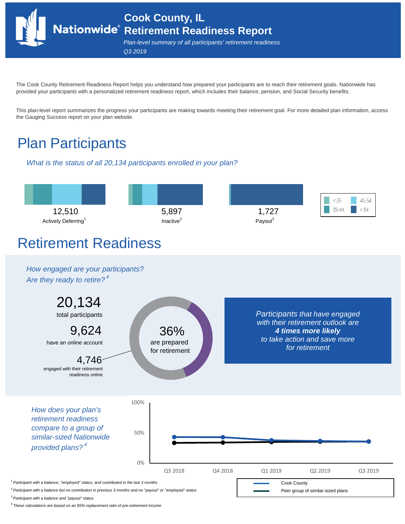**Cook County, IL Retirement Readiness Report**

*Plan-level summary of all participants' retirement readiness Q3 2019*

The Cook County Retirement Readiness Report helps you understand how prepared your participants are to reach their retirement goals. Nationwide has provided your participants with a personalized retirement readiness report, which includes their balance, pension, and Social Security benefits.

This plan-level report summarizes the progress your participants are making towards meeting their retirement goal. For more detailed plan information, access the Gauging Success report on your plan website.

# Plan Participants

*What is the status of all 20,134 participants enrolled in your plan?*



*3 Participant with a balance and "payout" status*

*4 These calculations are based on an 85% replacement ratio of pre-retirement income*